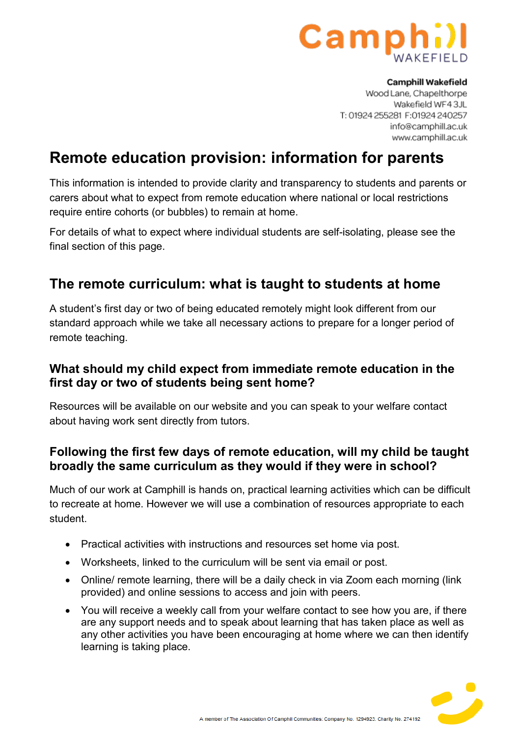

#### **Camphill Wakefield**

Wood Lane, Chapelthorpe Wakefield WF43JL T: 01924 255281 F: 01924 240257 info@camphill.ac.uk www.camphill.ac.uk

# **Remote education provision: information for parents**

This information is intended to provide clarity and transparency to students and parents or carers about what to expect from remote education where national or local restrictions require entire cohorts (or bubbles) to remain at home.

For details of what to expect where individual students are self-isolating, please see the final section of this page.

### **The remote curriculum: what is taught to students at home**

A student's first day or two of being educated remotely might look different from our standard approach while we take all necessary actions to prepare for a longer period of remote teaching.

### **What should my child expect from immediate remote education in the first day or two of students being sent home?**

Resources will be available on our website and you can speak to your welfare contact about having work sent directly from tutors.

### **Following the first few days of remote education, will my child be taught broadly the same curriculum as they would if they were in school?**

Much of our work at Camphill is hands on, practical learning activities which can be difficult to recreate at home. However we will use a combination of resources appropriate to each student.

- Practical activities with instructions and resources set home via post.
- Worksheets, linked to the curriculum will be sent via email or post.
- Online/ remote learning, there will be a daily check in via Zoom each morning (link provided) and online sessions to access and join with peers.
- You will receive a weekly call from your welfare contact to see how you are, if there are any support needs and to speak about learning that has taken place as well as any other activities you have been encouraging at home where we can then identify learning is taking place.

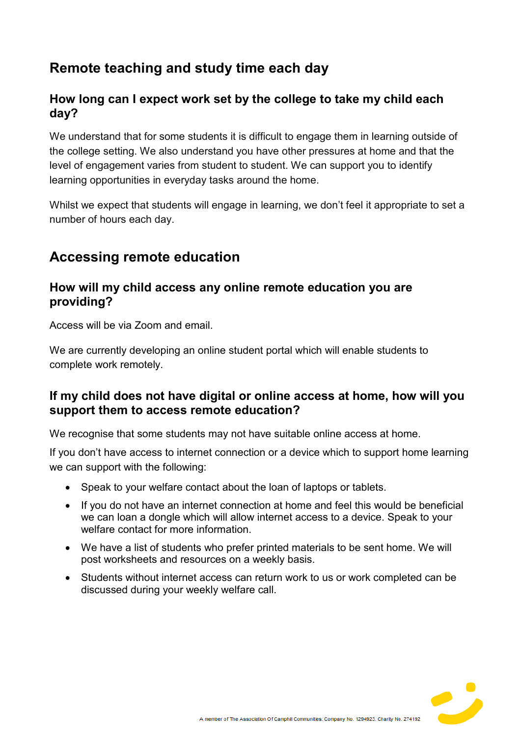# **Remote teaching and study time each day**

### **How long can I expect work set by the college to take my child each day?**

We understand that for some students it is difficult to engage them in learning outside of the college setting. We also understand you have other pressures at home and that the level of engagement varies from student to student. We can support you to identify learning opportunities in everyday tasks around the home.

Whilst we expect that students will engage in learning, we don't feel it appropriate to set a number of hours each day.

# **Accessing remote education**

### **How will my child access any online remote education you are providing?**

Access will be via Zoom and email.

We are currently developing an online student portal which will enable students to complete work remotely.

### **If my child does not have digital or online access at home, how will you support them to access remote education?**

We recognise that some students may not have suitable online access at home.

If you don't have access to internet connection or a device which to support home learning we can support with the following:

- Speak to your welfare contact about the loan of laptops or tablets.
- If you do not have an internet connection at home and feel this would be beneficial we can loan a dongle which will allow internet access to a device. Speak to your welfare contact for more information.
- We have a list of students who prefer printed materials to be sent home. We will post worksheets and resources on a weekly basis.
- Students without internet access can return work to us or work completed can be discussed during your weekly welfare call.